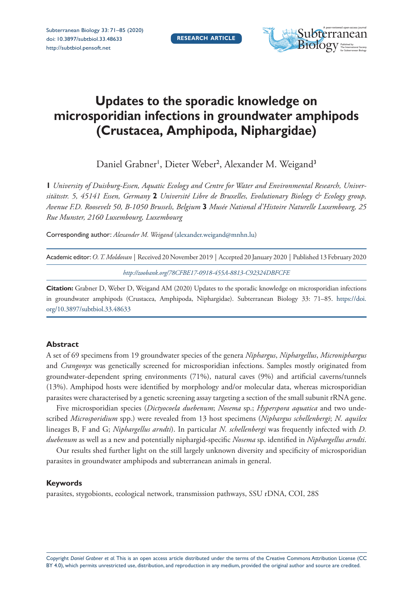

# **Updates to the sporadic knowledge on microsporidian infections in groundwater amphipods (Crustacea, Amphipoda, Niphargidae)**

Daniel Grabner<sup>1</sup>, Dieter Weber<sup>2</sup>, Alexander M. Weigand<sup>3</sup>

**1** *University of Duisburg-Essen, Aquatic Ecology and Centre for Water and Environmental Research, Universitätsstr. 5, 45141 Essen, Germany* **2** *Université Libre de Bruxelles, Evolutionary Biology & Ecology group, Avenue F.D. Roosevelt 50, B-1050 Brussels, Belgium* **3** *Musée National d'Histoire Naturelle Luxembourg, 25 Rue Munster, 2160 Luxembourg, Luxembourg*

Corresponding author: *Alexander M. Weigand* [\(alexander.weigand@mnhn.lu\)](mailto:alexander.weigand@mnhn.lu)

| Academic editor: O. T. Moldovan   Received 20 November 2019   Accepted 20 January 2020   Published 13 February 2020 |  |
|---------------------------------------------------------------------------------------------------------------------|--|
| $http://zoshanh.wa/79/ERE170019/5549912/0022/APECE$                                                                 |  |

*<http://zoobank.org/78CFBE17-0918-455A-8813-C92324DBFCFE>*

**Citation:** Grabner D, Weber D, Weigand AM (2020) Updates to the sporadic knowledge on microsporidian infections in groundwater amphipods (Crustacea, Amphipoda, Niphargidae). Subterranean Biology 33: 71–85. [https://doi.](https://doi.org/10.3897/subtbiol.33.48633) [org/10.3897/subtbiol.33.48633](https://doi.org/10.3897/subtbiol.33.48633)

#### **Abstract**

A set of 69 specimens from 19 groundwater species of the genera *Niphargus*, *Niphargellus*, *Microniphargus*  and *Crangonyx* was genetically screened for microsporidian infections. Samples mostly originated from groundwater-dependent spring environments (71%), natural caves (9%) and artificial caverns/tunnels (13%). Amphipod hosts were identified by morphology and/or molecular data, whereas microsporidian parasites were characterised by a genetic screening assay targeting a section of the small subunit rRNA gene.

Five microsporidian species (*Dictyocoela duebenum*; *Nosema* sp.; *Hyperspora aquatica* and two undescribed *Microsporidium* spp.) were revealed from 13 host specimens (*Niphargus schellenbergi*; *N. aquilex* lineages B, F and G; *Niphargellus arndti*). In particular *N. schellenbergi* was frequently infected with *D. duebenum* as well as a new and potentially niphargid-specific *Nosema* sp. identified in *Niphargellus arndti*.

Our results shed further light on the still largely unknown diversity and specificity of microsporidian parasites in groundwater amphipods and subterranean animals in general.

#### **Keywords**

parasites, stygobionts, ecological network, transmission pathways, SSU rDNA, COI, 28S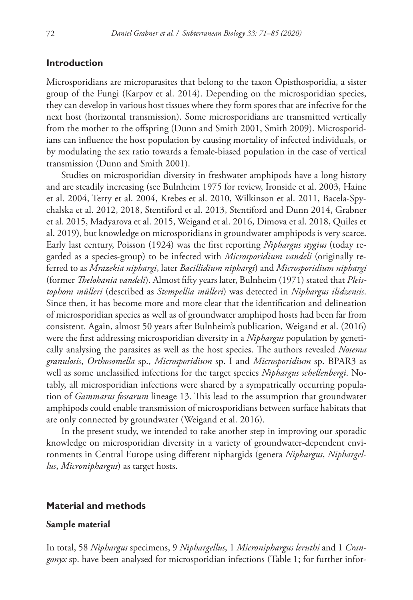#### **Introduction**

Microsporidians are microparasites that belong to the taxon Opisthosporidia, a sister group of the Fungi (Karpov et al. 2014). Depending on the microsporidian species, they can develop in various host tissues where they form spores that are infective for the next host (horizontal transmission). Some microsporidians are transmitted vertically from the mother to the offspring (Dunn and Smith 2001, Smith 2009). Microsporidians can influence the host population by causing mortality of infected individuals, or by modulating the sex ratio towards a female-biased population in the case of vertical transmission (Dunn and Smith 2001).

Studies on microsporidian diversity in freshwater amphipods have a long history and are steadily increasing (see Bulnheim 1975 for review, Ironside et al. 2003, Haine et al. 2004, Terry et al. 2004, Krebes et al. 2010, Wilkinson et al. 2011, Bacela-Spychalska et al. 2012, 2018, Stentiford et al. 2013, Stentiford and Dunn 2014, Grabner et al. 2015, Madyarova et al. 2015, Weigand et al. 2016, Dimova et al. 2018, Quiles et al. 2019), but knowledge on microsporidians in groundwater amphipods is very scarce. Early last century, Poisson (1924) was the first reporting *Niphargus stygius* (today regarded as a species-group) to be infected with *Microsporidium vandeli* (originally referred to as *Mrazekia niphargi*, later *Bacillidium niphargi*) and *Microsporidium niphargi*  (former *Thelohania vandeli*). Almost fifty years later, Bulnheim (1971) stated that *Pleistophora mülleri* (described as *Stempellia mülleri*) was detected in *Niphargus ilidzensis*. Since then, it has become more and more clear that the identification and delineation of microsporidian species as well as of groundwater amphipod hosts had been far from consistent. Again, almost 50 years after Bulnheim's publication, Weigand et al. (2016) were the first addressing microsporidian diversity in a *Niphargus* population by genetically analysing the parasites as well as the host species. The authors revealed *Nosema granulosis*, *Orthosomella* sp., *Microsporidium* sp. I and *Microsporidium* sp. BPAR3 as well as some unclassified infections for the target species *Niphargus schellenbergi*. Notably, all microsporidian infections were shared by a sympatrically occurring population of *Gammarus fossarum* lineage 13. This lead to the assumption that groundwater amphipods could enable transmission of microsporidians between surface habitats that are only connected by groundwater (Weigand et al. 2016).

In the present study, we intended to take another step in improving our sporadic knowledge on microsporidian diversity in a variety of groundwater-dependent environments in Central Europe using different niphargids (genera *Niphargus*, *Niphargellus*, *Microniphargus*) as target hosts.

#### **Material and methods**

#### **Sample material**

In total, 58 *Niphargus* specimens, 9 *Niphargellus*, 1 *Microniphargus leruthi* and 1 *Crangonyx* sp. have been analysed for microsporidian infections (Table 1; for further infor-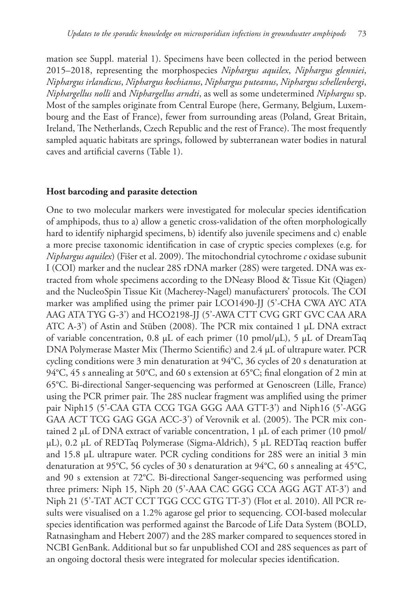mation see Suppl. material 1). Specimens have been collected in the period between 2015–2018, representing the morphospecies *Niphargus aquilex*, *Niphargus glenniei*, *Niphargus irlandicus*, *Niphargus kochianus*, *Niphargus puteanus*, *Niphargus schellenbergi*, *Niphargellus nolli* and *Niphargellus arndti*, as well as some undetermined *Niphargus* sp. Most of the samples originate from Central Europe (here, Germany, Belgium, Luxembourg and the East of France), fewer from surrounding areas (Poland, Great Britain, Ireland, The Netherlands, Czech Republic and the rest of France). The most frequently sampled aquatic habitats are springs, followed by subterranean water bodies in natural caves and artificial caverns (Table 1).

#### **Host barcoding and parasite detection**

One to two molecular markers were investigated for molecular species identification of amphipods, thus to a) allow a genetic cross-validation of the often morphologically hard to identify niphargid specimens, b) identify also juvenile specimens and c) enable a more precise taxonomic identification in case of cryptic species complexes (e.g. for *Niphargus aquilex*) (Fišer et al. 2009). The mitochondrial cytochrome *c* oxidase subunit I (COI) marker and the nuclear 28S rDNA marker (28S) were targeted. DNA was extracted from whole specimens according to the DNeasy Blood & Tissue Kit (Qiagen) and the NucleoSpin Tissue Kit (Macherey-Nagel) manufacturers' protocols. The COI marker was amplified using the primer pair LCO1490-JJ (5'-CHA CWA AYC ATA AAG ATA TYG G-3') and HCO2198-JJ (5'-AWA CTT CVG GRT GVC CAA ARA ATC A-3') of Astin and Stüben (2008). The PCR mix contained 1 μL DNA extract of variable concentration, 0.8 μL of each primer (10 pmol/μL), 5 μL of DreamTaq DNA Polymerase Master Mix (Thermo Scientific) and 2.4 µL of ultrapure water. PCR cycling conditions were 3 min denaturation at 94°C, 36 cycles of 20 s denaturation at 94°C, 45 s annealing at 50°C, and 60 s extension at 65°C; final elongation of 2 min at 65°C. Bi-directional Sanger-sequencing was performed at Genoscreen (Lille, France) using the PCR primer pair. The 28S nuclear fragment was amplified using the primer pair Niph15 (5'-CAA GTA CCG TGA GGG AAA GTT-3') and Niph16 (5'-AGG GAA ACT TCG GAG GGA ACC-3') of Verovnik et al. (2005). The PCR mix contained 2 μL of DNA extract of variable concentration, 1 μL of each primer (10 pmol/ μL), 0.2 μL of REDTaq Polymerase (Sigma-Aldrich), 5 µL REDTaq reaction buffer and 15.8 µL ultrapure water. PCR cycling conditions for 28S were an initial 3 min denaturation at 95°C, 56 cycles of 30 s denaturation at 94°C, 60 s annealing at 45°C, and 90 s extension at 72°C. Bi-directional Sanger-sequencing was performed using three primers: Niph 15, Niph 20 (5'-AAA CAC GGG CCA AGG AGT AT-3') and Niph 21 (5'-TAT ACT CCT TGG CCC GTG TT-3') (Flot et al. 2010). All PCR results were visualised on a 1.2% agarose gel prior to sequencing. COI-based molecular species identification was performed against the Barcode of Life Data System (BOLD, Ratnasingham and Hebert 2007) and the 28S marker compared to sequences stored in NCBI GenBank. Additional but so far unpublished COI and 28S sequences as part of an ongoing doctoral thesis were integrated for molecular species identification.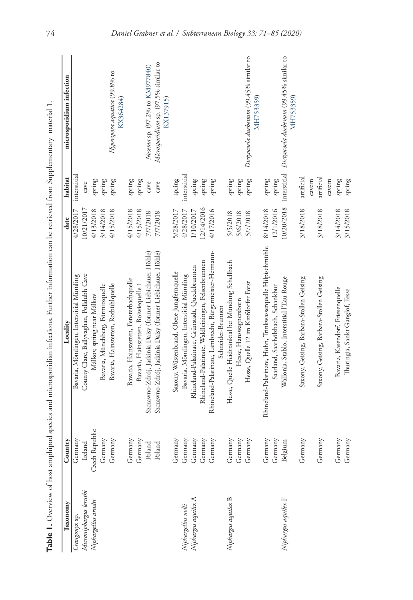| í                                                                          |
|----------------------------------------------------------------------------|
| 4<br>í<br>֚֚<br>ï<br>j<br>ł<br>₹                                           |
| Į                                                                          |
| j<br>i<br>i                                                                |
| ł<br>í<br>j<br>j<br>i<br>ŧ                                                 |
| n<br>C<br>ś                                                                |
| j<br>֖ׅׅׅ֚֚֚֚֚֚֚֚֚֚֚֚֚֚֚֚֚֚֚֚֚֡֝֝֡֡֡֝֬֝֬֝֬֝֓֞֬֝֓֬֝֓֬֝֬֝֓֞֬֝֓֞֬֝֬<br>ļ<br>d |
| AT-<br>ï<br>in the lite<br>j<br>į                                          |
| J<br>ļ                                                                     |
| i<br>j<br>خ<br>ب<br>j                                                      |
| ļ<br>ì<br>$\tilde{c}$<br>i                                                 |
| ļ<br>֪֪ׅ֖֖֖֚֚֚֚֚֚֬֕֓֕֓֕֬֝֬֝֓֬֝֬֝֓֬֝֬֝֬                                     |
| j<br>je                                                                    |
| į<br>$\frac{1}{2}$                                                         |
| Ì<br>ţ<br>j                                                                |
| ç<br>Č                                                                     |
| d<br>į                                                                     |
| ţ                                                                          |
| į                                                                          |
| ¢<br>ł<br>i<br>5                                                           |
| ŧ<br>é<br>i<br>֖ׅ֧֚֚֚֚֚֚֚֚֚֚֚֚֚֚֚֚֚֚֚֚֚֚֚֚֚֚֚֚֚֚֡֝֝֝֝֝֝֓֡֡֓֞֝֬֝֓֞֬֝֓֬֝֓֝֬  |
| ł<br>j<br>į                                                                |
| ï<br>i<br>ł<br>i                                                           |
| 5<br>ł                                                                     |
| I                                                                          |
| ļ<br>!<br>ł<br>֠                                                           |
| ï<br>֖֖֖֖֖֖֖֖ׅ֪֪ׅ֖ׅ֪֪֪֪֪ׅ֖֚֚֚֚֚֚֚֚֚֚֚֚֚֚֚֬֝֝֓֝<br>ł<br>I<br>ć              |
| $-187$<br>$\overline{\phantom{a}}$<br>$\overline{a}$<br>ί<br>ā<br>5        |
| ţ                                                                          |
| ,                                                                          |
| ֚֓<br>I                                                                    |

| Taxonomy               | Country        | Locality                                                    | date       | habitat                  | microsporidium infection                                         |
|------------------------|----------------|-------------------------------------------------------------|------------|--------------------------|------------------------------------------------------------------|
| Crangonyx sp.          | Germany        | Bavaria, Mömlingen, Interstitial Mümling                    | 4/28/2017  | interstitial             |                                                                  |
| Microniphargus leruthi | Ireland        | County Clare, Ballyvaghan, Polldubh Cave                    | 10/21/2017 | cave                     |                                                                  |
| Niphargellus arndti    | Czech Republic | Málkov, spring near Málkov                                  | 4/13/2018  | spring                   |                                                                  |
|                        | Germany        | Bavaria, Münchberg, Förmitzquelle                           | 3/14/2018  | $\operatorname*{spring}$ |                                                                  |
|                        | Germany        | Bavaria, Hainstetten, Rotbühlquelle                         | 4/15/2018  | spring                   | Hyperspora aquatica (99.8% to<br>KX364284)                       |
|                        | Germany        | Bavaria, Hainstetten, Fensterbachquelle                     | 4/15/2018  | spring                   |                                                                  |
|                        | Germany        | Bavaria, Hainstetten, Boiwiequelle 1                        | 4/15/2018  | spring                   |                                                                  |
|                        | Poland         | Szczawno-Zdrój, Jaskinia Daisy (former Liebichauer Höhle)   | 7/7/2018   | cave                     | Nosema sp. (97.2% to KM977840)                                   |
|                        | Poland         | Szczawno-Zdrój, Jaskinia Daisy (former Liebichauer Höhle)   | 7/7/2018   | cave                     | Microsporidium sp. (97.5% similar to<br>KX137915)                |
|                        | Germany        | Saxony, Wüstenbrand, Obere Jungfernquelle                   | 5/28/2017  | spring                   |                                                                  |
| Niphargellus nolli     | Germany        | Bavaria, Mömlingen, Interstitial Mümling                    | 4/28/2017  | interstitial             |                                                                  |
| Niphargus aquilex A    | Germany        | Rhineland-Palatinate, Grünstadt, Queckbrunnen               | 1/10/2017  | spring                   |                                                                  |
|                        | Germany        | Rhineland-Palatinate, Waldleiningen, Felsenbrunnen          | 12/14/2016 | spring                   |                                                                  |
|                        | Germany        | Rhineland-Palatinate, Lambrecht, Bürgermeister-Hermann-     | 4/17/2016  | spring                   |                                                                  |
|                        |                | Schneider-Brunnen                                           |            |                          |                                                                  |
| Niphargus aquilex B    | Germany        | Hesse, Quelle Heidtränktal bei Mündung Schellbach           | 5/5/2018   | spring                   |                                                                  |
|                        | Germany        | Hesse, Hanswagnersborn                                      | 5/6/2018   | spring                   |                                                                  |
|                        | Germany        | Hesse, Quelle 12 im Krofdorfer Forst                        | 5/7/2018   | spring                   | Dictyocoela duebenum (99.45% similar to<br>MH753359)             |
|                        | Germany        | Rhineland-Palatinate, Höhn, Trinkwasserquelle Hilpischmühle | 8/14/2018  | spring                   |                                                                  |
|                        | Germany        | Saarland, Saarhölzbach, Schankbur                           | 12/1/2016  | spring                   |                                                                  |
| Niphargus aquilex F    | Belgium        | Wallonia, Stablo, Interstitial l'Eau Rouge                  | 10/20/2018 |                          | interstitial Dictyocoela duebenum (99.45% similar to<br>MH753359 |
|                        | Germany        | Saxony, Geising, Barbara-Stollen Geising                    | 3/18/2018  | artificial               |                                                                  |
|                        | Germany        | Saxony, Geising, Barbara-Stollen Geising                    | 3/18/2018  | artificial<br>cavern     |                                                                  |
|                        |                |                                                             |            | cavern                   |                                                                  |
|                        | Germany        | Bavaria, Kasendorf, Friesenquelle                           | 3/14/2018  | spring                   |                                                                  |
|                        | Germany        | Thuringia, Sankt Ganglof, Tesse                             | 3/15/2018  | spring                   |                                                                  |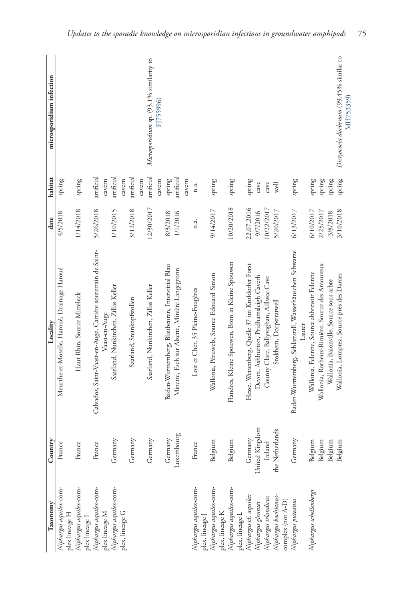| Taxonomy                                                            | Country               | Locality                                                                                          | date                 | habitat              | microsporidium infection                            |
|---------------------------------------------------------------------|-----------------------|---------------------------------------------------------------------------------------------------|----------------------|----------------------|-----------------------------------------------------|
| Niphargus aquilex-com-<br>plex lineage H                            | France                | Meurthe-et-Moselle, Haroué, Drainage Haroué                                                       | 4/5/2018             | spring               |                                                     |
| Niphargus aquilex-com-<br>plex lineage I                            | <b>CC</b><br>Fran     | Haut Rhin, Source Mitteleck                                                                       | 1/14/2018            | spring               |                                                     |
| Niphargus aquilex-com-                                              | France                | Calvados, Saint-Vaast-en-Auge, Carrière souterrain de Saint-                                      | 5/26/2018            | artificial           |                                                     |
| Niphargus aquilex-com-<br>plex lineage M                            | Germany               | Saarland, Nunkirchen, Zillas Keller<br>Vaast-en-Auge                                              | 1/10/2015            | artificial<br>cavern |                                                     |
| plex, lineage G                                                     | Germany               | Saarland, Steinkopfstollen                                                                        | 3/12/2018            | artificial<br>cavern |                                                     |
|                                                                     | Germany               | Saarland, Nunkirchen, Zillas Keller                                                               | 12/30/2017           | artificial<br>cavern | Microsporidium sp. (93.1% similarity to             |
|                                                                     |                       |                                                                                                   |                      | cavern               | FJ755996)                                           |
|                                                                     | Luxembourg<br>Germany | Baden-Wurttemberg, Blaubeuren, Interstitial Blau<br>Minette, Esch sur Alzette, Minière Langegronn | 1/1/2016<br>8/3/2018 | artificial<br>spring |                                                     |
|                                                                     |                       |                                                                                                   |                      | cavern               |                                                     |
| Niphargus aquilex-com-<br>plex, lineage J                           | France                | Loir et Cher, 35 Pleine-Fougères                                                                  | n.a.                 | n.a.                 |                                                     |
| Niphargus aquilex-com-<br>plex, lineage K                           | Belgium               | Wallonia, Péruwelz, Source Edouard Simon                                                          | 9/14/2017            | spring               |                                                     |
| Niphargus aquilex-com-<br>plex, lineage L                           | Belgium               | Flandres, Kleine Spouwen, Bron in Kleine Spouwen                                                  | 10/20/2018           | spring               |                                                     |
| Niphargus cf. aquilex<br>Niphargus glenniei<br>Niphargus inlandicus | Germany               | Hesse, Wettenberg, Quelle 37 im Krofdorfer Forst                                                  | 22.07.2016           | spring               |                                                     |
|                                                                     | United Kingdom        | Devon, Ashburton, Pridhamsleigh Caverh                                                            | 9/7/2016             | cave                 |                                                     |
|                                                                     | Ireland               | County Clare, Ballyvaghan, Aillwee Cave                                                           | 10/22/2017           | cave                 |                                                     |
| Niphargus kochianus-<br>complex (not A-D)                           | the Netherlands       | Stokhem, Dorpstratwell                                                                            | 5/20/2017            | well                 |                                                     |
| Niphargus puteanus                                                  | Germany               | Baden-Wurttemberg, Schlattstall, Wasserhäuschen Schwarze<br>Lauter                                | 6/13/2017            | spring               |                                                     |
| Niphargus schellenbergi                                             | Belgium               | Wallonia, Felenne, Source abbrevoir Felenne                                                       | 6/10/2017            | spring               |                                                     |
|                                                                     | Belgium               | Wallonia, Rotheux-Rimière, Source des Amoureux                                                    | 2/25/2017            | spring               |                                                     |
|                                                                     | Belgium               | Wallonia, Baionville, Source sous arbre                                                           | 3/8/2018             | spring               |                                                     |
|                                                                     | Belgium               | Wallonia, Lomprez, Source près des Dames                                                          | 3/10/2018            | spring               | Dictyocoela duebenum (99.45% similar to<br>MH753359 |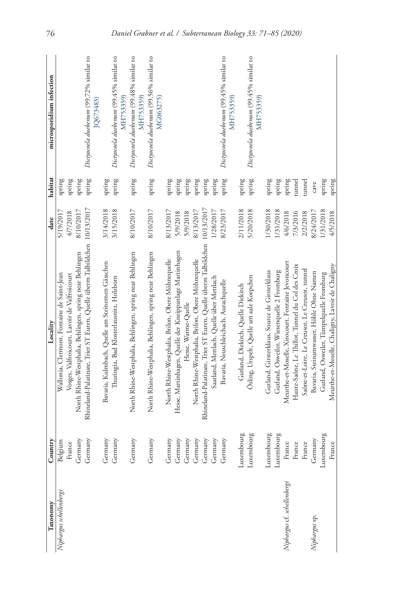| Taxonomy                    | Country    | Locality                                                                  | date       | habitat | microsporidium infection                             |
|-----------------------------|------------|---------------------------------------------------------------------------|------------|---------|------------------------------------------------------|
| Niphargus schellenbergi     | Belgium    | Wallonia, Clermont, Fontaine de Saint-Jean                                | 5/19/2017  | spring  |                                                      |
|                             | France     | Vosges, Valfroicourt, Lavoir de Valfroicourt                              | 4/7/2018   | spring  |                                                      |
|                             | Germany    | North Rhine-Westphalia, Behlingen, spring near Behlingen                  | 8/10/2017  | spring  |                                                      |
|                             | Germany    | Rhineland-Palatinate, Trier ST Euren, Quelle überm Talbildchen 10/13/2017 |            | spring  | Dictyocoela duebenum (99.72% similar to<br>JQ673483) |
|                             | Germany    | Bavaria, Kulmbach, Quelle am Steinernen Gässchen                          | 3/14/2018  | spring  |                                                      |
|                             | Germany    | Thuringia, Bad Klosterlausnitz, Holzborn                                  | 3/15/2018  | spring  | Dictyocoela duebenum (99.45% similar to<br>MH753359) |
|                             | Germany    | North Rhine-Westphalia, Behlingen, spring near Behlingen                  | 8/10/2017  | spring  | Dictyocoela duebenum (99.48% similar to<br>MH753359) |
|                             | Germany    | North Rhine-Westphalia, Behlingen, spring near Behlingen                  | 8/10/2017  | spring  | Dictyocoela duebenum (99.56% similar to<br>MG063275) |
|                             | Germany    | North Rhine-Westphalia, Brilon, Obere Möhnequelle                         | 8/13/2017  | spring  |                                                      |
|                             | Germany    | Hesse, Martinhagen, Quelle der Kneippanlage Martinhagen                   | 5/9/2018   | spring  |                                                      |
|                             | Germany    | Hesse, Warme-Quelle                                                       | 5/9/2018   | spring  |                                                      |
|                             | Germany    | North Rhine-Westphalia, Brilon, Obere Möhnequelle                         | 8/13/2017  | spring  |                                                      |
|                             | Germany    | Rhineland-Palatinate, Trier ST Euren, Quelle überm Talbildchen            | 10/13/2017 | spring  |                                                      |
|                             | Germany    | Saarland, Mettlach, Quelle über Mettlach                                  | 1/28/2017  | spring  |                                                      |
|                             | Germany    | Bavaria, Neuschleichach, Aurachquelle                                     | 8/23/2017  | spring  | Dictyocoela duebenum (99.45% similar to<br>MH753359) |
|                             | Luxembourg | Gutland, Diekirch, Quelle Diekirch                                        | 2/11/2018  | spring  |                                                      |
|                             | Luxembourg | Ösling, Urspelt, Quelle am aale Koepchen                                  | 5/20/2018  | spring  | Dictyocoela duebenum (99.45% similar to<br>MH753359) |
|                             | Luxembourg | Gutland, Girsterklaus, Source de Girsterklaus                             | 1/30/2018  | spring  |                                                      |
|                             | Luxembourg | Gutland, Osweiler, Wiesenquelle 2 Fromburg                                | 1/31/2018  | spring  |                                                      |
| Niphargus cf. schellenbergi | France     | Meurthe-et-Moselle, Xirocourt, Fontaine Jevoncourt                        | 4/6/2018   | spring  |                                                      |
|                             | France     | Haute-Saône, Le Thillot, Tunnel du Col des Croix                          | 7/3/2016   | tunnel  |                                                      |
|                             | France     | Saône-et-Loire, Le Creusot, Le Creusot, tunnel                            | 2/2/2018   | tunnel  |                                                      |
| Niphargus sp.               | Germany    | Bavaria, Steinamwasser, Höhle Ohne Namen                                  | 8/24/2017  | cave    |                                                      |
|                             | Luxembourg | Gutland, Osweiler, Tümpelquelle Fromburg                                  | 1/31/2018  | spring  |                                                      |
|                             | France     | Meurthe-et-Moselle, Chaligny, Lavoir de Chaligny                          | 4/5/2018   | spring  |                                                      |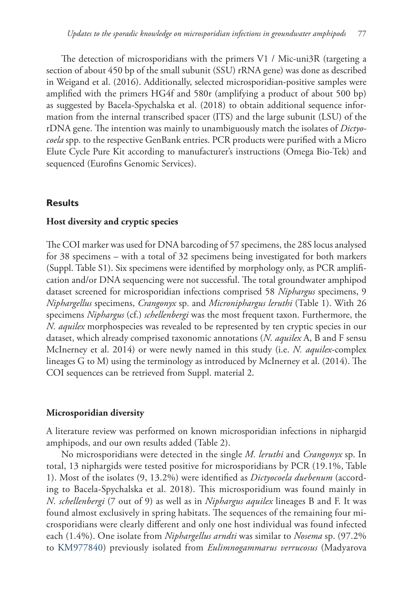The detection of microsporidians with the primers V1 / Mic-uni3R (targeting a section of about 450 bp of the small subunit (SSU) rRNA gene) was done as described in Weigand et al. (2016). Additionally, selected microsporidian-positive samples were amplified with the primers HG4f and 580r (amplifying a product of about 500 bp) as suggested by Bacela-Spychalska et al. (2018) to obtain additional sequence information from the internal transcribed spacer (ITS) and the large subunit (LSU) of the rDNA gene. The intention was mainly to unambiguously match the isolates of *Dictyocoela* spp. to the respective GenBank entries. PCR products were purified with a Micro Elute Cycle Pure Kit according to manufacturer's instructions (Omega Bio-Tek) and sequenced (Eurofins Genomic Services).

# **Results**

### **Host diversity and cryptic species**

The COI marker was used for DNA barcoding of 57 specimens, the 28S locus analysed for 38 specimens – with a total of 32 specimens being investigated for both markers (Suppl. Table S1). Six specimens were identified by morphology only, as PCR amplification and/or DNA sequencing were not successful. The total groundwater amphipod dataset screened for microsporidian infections comprised 58 *Niphargus* specimens, 9 *Niphargellus* specimens, *Crangonyx* sp. and *Microniphargus leruthi* (Table 1). With 26 specimens *Niphargus* (cf.) *schellenbergi* was the most frequent taxon. Furthermore, the *N. aquilex* morphospecies was revealed to be represented by ten cryptic species in our dataset, which already comprised taxonomic annotations (*N. aquilex* A, B and F sensu McInerney et al. 2014) or were newly named in this study (i.e. *N. aquilex*-complex lineages G to M) using the terminology as introduced by McInerney et al. (2014). The COI sequences can be retrieved from Suppl. material 2.

# **Microsporidian diversity**

A literature review was performed on known microsporidian infections in niphargid amphipods, and our own results added (Table 2).

No microsporidians were detected in the single *M. leruthi* and *Crangonyx* sp. In total, 13 niphargids were tested positive for microsporidians by PCR (19.1%, Table 1). Most of the isolates (9, 13.2%) were identified as *Dictyocoela duebenum* (according to Bacela-Spychalska et al. 2018). This microsporidium was found mainly in *N. schellenbergi* (7 out of 9) as well as in *Niphargus aquilex* lineages B and F. It was found almost exclusively in spring habitats. The sequences of the remaining four microsporidians were clearly different and only one host individual was found infected each (1.4%). One isolate from *Niphargellus arndti* was similar to *Nosema* sp. (97.2% to [KM977840\)](http://www.ncbi.nlm.nih.gov/nuccore/KM977840) previously isolated from *Eulimnogammarus verrucosus* (Madyarova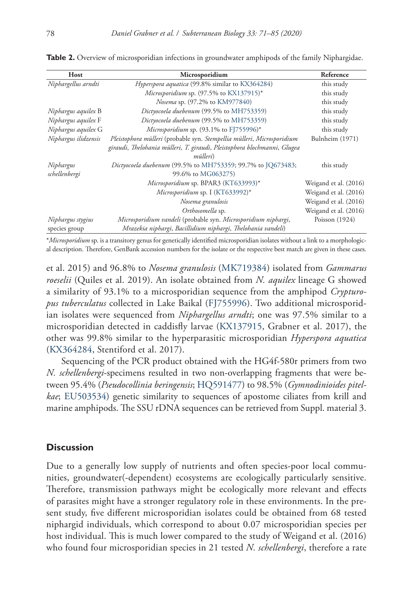| Host                 | Microsporidium                                                                               | Reference             |
|----------------------|----------------------------------------------------------------------------------------------|-----------------------|
| Niphargellus arndti  | Hyperspora aquatica (99.8% similar to KX364284)                                              | this study            |
|                      | Microsporidium sp. $(97.5\%$ to KX137915)*                                                   | this study            |
|                      | Nosema sp. (97.2% to KM977840)                                                               | this study            |
| Niphargus aquilex B  | Dictyocoela duebenum (99.5% to MH753359)                                                     | this study            |
| Niphargus aquilex F  | Dictyocoela duebenum (99.5% to MH753359)                                                     | this study            |
| Niphargus aquilex G  | Microsporidium sp. $(93.1\%$ to FJ755996)*                                                   | this study            |
| Niphargus ilidzensis | Pleistophora mülleri (probable syn. Stempellia mülleri, Microsporidium                       | Bulnheim (1971)       |
|                      | giraudi, Thelohania mülleri, T. giraudi, Pleistophora blochmanni, Glugea<br><i>mülleri</i> ) |                       |
| Niphargus            | Dictyocoela duebenum (99.5% to MH753359; 99.7% to JQ673483;                                  | this study            |
| schellenbergi        | 99.6% to MG063275)                                                                           |                       |
|                      | Microsporidium sp. BPAR3 (KT633993)*                                                         | Weigand et al. (2016) |
|                      | Microsporidium sp. I (KT633992)*                                                             | Weigand et al. (2016) |
|                      | Nosema granulosis                                                                            | Weigand et al. (2016) |
|                      | Orthosomella sp.                                                                             | Weigand et al. (2016) |
| Niphargus stygius    | Microsporidium vandeli (probable syn. Microsporidium niphargi,                               | Poisson $(1924)$      |
| species group        | Mrazekia niphargi, Bacillidium niphargi, Thelohania vandeli)                                 |                       |

**Table 2.** Overview of microsporidian infections in groundwater amphipods of the family Niphargidae.

\**Microsporidium* sp. is a transitory genus for genetically identified microsporidian isolates without a link to a morphological description. Therefore, GenBank accession numbers for the isolate or the respective best match are given in these cases.

et al. 2015) and 96.8% to *Nosema granulosis* ([MK719384](http://www.ncbi.nlm.nih.gov/nuccore/MK719384)) isolated from *Gammarus roeselii* (Quiles et al. 2019). An isolate obtained from *N. aquilex* lineage G showed a similarity of 93.1% to a microsporidian sequence from the amphipod *Crypturopus tuberculatus* collected in Lake Baikal [\(FJ755996\)](http://www.ncbi.nlm.nih.gov/nuccore/FJ755996). Two additional microsporidian isolates were sequenced from *Niphargellus arndti*; one was 97.5% similar to a microsporidian detected in caddisfly larvae ([KX137915](http://www.ncbi.nlm.nih.gov/nuccore/KX137915), Grabner et al. 2017), the other was 99.8% similar to the hyperparasitic microsporidian *Hyperspora aquatica* ([KX364284](http://www.ncbi.nlm.nih.gov/nuccore/KX364284), Stentiford et al. 2017).

Sequencing of the PCR product obtained with the HG4f-580r primers from two *N. schellenbergi*-specimens resulted in two non-overlapping fragments that were between 95.4% (*Pseudocollinia beringensis*; [HQ591477](http://www.ncbi.nlm.nih.gov/nuccore/HQ591477)) to 98.5% (*Gymnodinioides pitelkae*; [EU503534](http://www.ncbi.nlm.nih.gov/nuccore/EU503534)) genetic similarity to sequences of apostome ciliates from krill and marine amphipods. The SSU rDNA sequences can be retrieved from Suppl. material 3.

#### **Discussion**

Due to a generally low supply of nutrients and often species-poor local communities, groundwater(-dependent) ecosystems are ecologically particularly sensitive. Therefore, transmission pathways might be ecologically more relevant and effects of parasites might have a stronger regulatory role in these environments. In the present study, five different microsporidian isolates could be obtained from 68 tested niphargid individuals, which correspond to about 0.07 microsporidian species per host individual. This is much lower compared to the study of Weigand et al. (2016) who found four microsporidian species in 21 tested *N. schellenbergi*, therefore a rate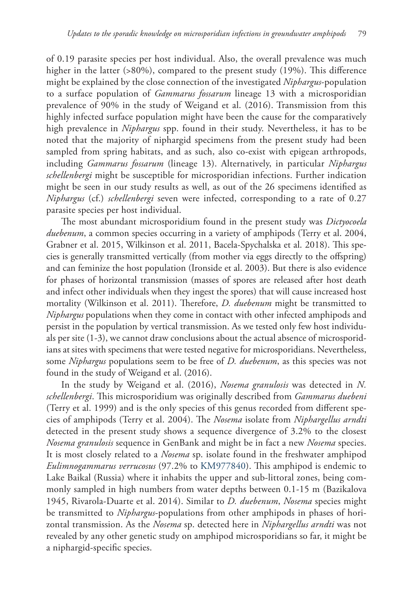of 0.19 parasite species per host individual. Also, the overall prevalence was much higher in the latter (>80%), compared to the present study (19%). This difference might be explained by the close connection of the investigated *Niphargus*-population to a surface population of *Gammarus fossarum* lineage 13 with a microsporidian prevalence of 90% in the study of Weigand et al. (2016). Transmission from this highly infected surface population might have been the cause for the comparatively high prevalence in *Niphargus* spp. found in their study. Nevertheless, it has to be noted that the majority of niphargid specimens from the present study had been sampled from spring habitats, and as such, also co-exist with epigean arthropods, including *Gammarus fossarum* (lineage 13). Alternatively, in particular *Niphargus schellenbergi* might be susceptible for microsporidian infections. Further indication might be seen in our study results as well, as out of the 26 specimens identified as *Niphargus* (cf.) *schellenbergi* seven were infected, corresponding to a rate of 0.27 parasite species per host individual.

The most abundant microsporidium found in the present study was *Dictyocoela duebenum*, a common species occurring in a variety of amphipods (Terry et al. 2004, Grabner et al. 2015, Wilkinson et al. 2011, Bacela-Spychalska et al. 2018). This species is generally transmitted vertically (from mother via eggs directly to the offspring) and can feminize the host population (Ironside et al. 2003). But there is also evidence for phases of horizontal transmission (masses of spores are released after host death and infect other individuals when they ingest the spores) that will cause increased host mortality (Wilkinson et al. 2011). Therefore, *D. duebenum* might be transmitted to *Niphargus* populations when they come in contact with other infected amphipods and persist in the population by vertical transmission. As we tested only few host individuals per site (1-3), we cannot draw conclusions about the actual absence of microsporidians at sites with specimens that were tested negative for microsporidians. Nevertheless, some *Niphargus* populations seem to be free of *D. duebenum*, as this species was not found in the study of Weigand et al. (2016).

In the study by Weigand et al. (2016), *Nosema granulosis* was detected in *N. schellenbergi*. This microsporidium was originally described from *Gammarus duebeni* (Terry et al. 1999) and is the only species of this genus recorded from different species of amphipods (Terry et al. 2004). The *Nosema* isolate from *Niphargellus arndti*  detected in the present study shows a sequence divergence of 3.2% to the closest *Nosema granulosis* sequence in GenBank and might be in fact a new *Nosema* species. It is most closely related to a *Nosema* sp. isolate found in the freshwater amphipod *Eulimnogammarus verrucosus* (97.2% to [KM977840\)](http://www.ncbi.nlm.nih.gov/nuccore/KM977840). This amphipod is endemic to Lake Baikal (Russia) where it inhabits the upper and sub‐littoral zones, being commonly sampled in high numbers from water depths between 0.1-15 m (Bazikalova 1945, Rivarola-Duarte et al. 2014). Similar to *D. duebenum*, *Nosema* species might be transmitted to *Niphargus*-populations from other amphipods in phases of horizontal transmission. As the *Nosema* sp. detected here in *Niphargellus arndti* was not revealed by any other genetic study on amphipod microsporidians so far, it might be a niphargid-specific species.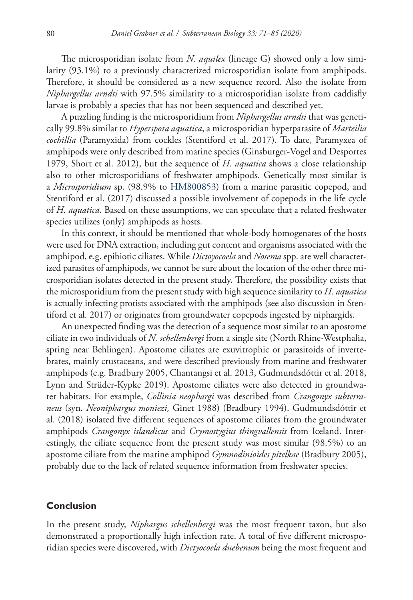The microsporidian isolate from *N. aquilex* (lineage G) showed only a low similarity (93.1%) to a previously characterized microsporidian isolate from amphipods. Therefore, it should be considered as a new sequence record. Also the isolate from *Niphargellus arndti* with 97.5% similarity to a microsporidian isolate from caddisfly larvae is probably a species that has not been sequenced and described yet.

A puzzling finding is the microsporidium from *Niphargellus arndti* that was genetically 99.8% similar to *Hyperspora aquatica*, a microsporidian hyperparasite of *Marteilia cochillia* (Paramyxida) from cockles (Stentiford et al. 2017). To date, Paramyxea of amphipods were only described from marine species (Ginsburger-Vogel and Desportes 1979, Short et al. 2012), but the sequence of *H. aquatica* shows a close relationship also to other microsporidians of freshwater amphipods. Genetically most similar is a *Microsporidium* sp. (98.9% to [HM800853\)](http://www.ncbi.nlm.nih.gov/nuccore/HM800853) from a marine parasitic copepod, and Stentiford et al. (2017) discussed a possible involvement of copepods in the life cycle of *H. aquatica*. Based on these assumptions, we can speculate that a related freshwater species utilizes (only) amphipods as hosts.

In this context, it should be mentioned that whole-body homogenates of the hosts were used for DNA extraction, including gut content and organisms associated with the amphipod, e.g. epibiotic ciliates. While *Dictoyocoela* and *Nosema* spp. are well characterized parasites of amphipods, we cannot be sure about the location of the other three microsporidian isolates detected in the present study. Therefore, the possibility exists that the microsporidium from the present study with high sequence similarity to *H. aquatica* is actually infecting protists associated with the amphipods (see also discussion in Stentiford et al. 2017) or originates from groundwater copepods ingested by niphargids.

An unexpected finding was the detection of a sequence most similar to an apostome ciliate in two individuals of *N. schellenbergi* from a single site (North Rhine-Westphalia, spring near Behlingen). Apostome ciliates are exuvitrophic or parasitoids of invertebrates, mainly crustaceans, and were described previously from marine and freshwater amphipods (e.g. Bradbury 2005, Chantangsi et al. 2013, Gudmundsdóttir et al. 2018, Lynn and Strüder-Kypke 2019). Apostome ciliates were also detected in groundwater habitats. For example, *Collinia neophargi* was described from *Crangonyx subterraneus* (syn. *Neoniphargus moniezi,* Ginet 1988) (Bradbury 1994). Gudmundsdóttir et al. (2018) isolated five different sequences of apostome ciliates from the groundwater amphipods *Crangonyx islandicus* and *Crymostygius thingvallensis* from Iceland. Interestingly, the ciliate sequence from the present study was most similar (98.5%) to an apostome ciliate from the marine amphipod *Gymnodinioides pitelkae* (Bradbury 2005), probably due to the lack of related sequence information from freshwater species.

#### **Conclusion**

In the present study, *Niphargus schellenbergi* was the most frequent taxon, but also demonstrated a proportionally high infection rate. A total of five different microsporidian species were discovered, with *Dictyocoela duebenum* being the most frequent and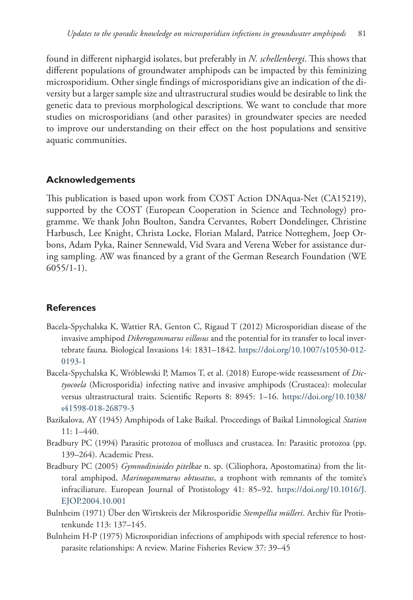found in different niphargid isolates, but preferably in *N. schellenbergi*. This shows that different populations of groundwater amphipods can be impacted by this feminizing microsporidium. Other single findings of microsporidians give an indication of the diversity but a larger sample size and ultrastructural studies would be desirable to link the genetic data to previous morphological descriptions. We want to conclude that more studies on microsporidians (and other parasites) in groundwater species are needed to improve our understanding on their effect on the host populations and sensitive aquatic communities.

# **Acknowledgements**

This publication is based upon work from COST Action DNAqua-Net (CA15219), supported by the COST (European Cooperation in Science and Technology) programme. We thank John Boulton, Sandra Cervantes, Robert Dondelinger, Christine Harbusch, Lee Knight, Christa Locke, Florian Malard, Patrice Notteghem, Joep Orbons, Adam Pyka, Rainer Sennewald, Vid Svara and Verena Weber for assistance during sampling. AW was financed by a grant of the German Research Foundation (WE  $6055/1-1$ ).

# **References**

- Bacela-Spychalska K, Wattier RA, Genton C, Rigaud T (2012) Microsporidian disease of the invasive amphipod *Dikerogammarus villosus* and the potential for its transfer to local invertebrate fauna. Biological Invasions 14: 1831–1842. [https://doi.org/10.1007/s10530-012-](https://doi.org/10.1007/s10530-012-0193-1) [0193-1](https://doi.org/10.1007/s10530-012-0193-1)
- Bacela-Spychalska K, Wróblewski P, Mamos T, et al. (2018) Europe-wide reassessment of *Dictyocoela* (Microsporidia) infecting native and invasive amphipods (Crustacea): molecular versus ultrastructural traits. Scientific Reports 8: 8945: 1–16. [https://doi.org/10.1038/](https://doi.org/10.1038/s41598-018-26879-3) [s41598-018-26879-3](https://doi.org/10.1038/s41598-018-26879-3)
- Bazikalova, AY (1945) Amphipods of Lake Baikal. Proceedings of Baikal Limnological *Station* 11: 1–440.
- Bradbury PC (1994) Parasitic protozoa of molluscs and crustacea. In: Parasitic protozoa (pp. 139–264). Academic Press.
- Bradbury PC (2005) *Gymnodinioides pitelkae* n. sp. (Ciliophora, Apostomatina) from the littoral amphipod, *Marinogammarus obtusatus*, a trophont with remnants of the tomite's infraciliature. European Journal of Protistology 41: 85–92. [https://doi.org/10.1016/J.](https://doi.org/10.1016/J.EJOP.2004.10.001) [EJOP.2004.10.001](https://doi.org/10.1016/J.EJOP.2004.10.001)
- Bulnheim (1971) Über den Wirtskreis der Mikrosporidie *Stempellia mülleri*. Archiv für Protistenkunde 113: 137–145.
- Bulnheim H-P (1975) Microsporidian infections of amphipods with special reference to hostparasite relationships: A review. Marine Fisheries Review 37: 39–45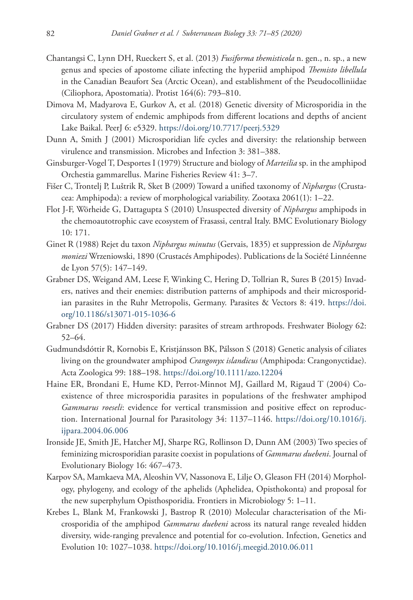- Chantangsi C, Lynn DH, Rueckert S, et al. (2013) *Fusiforma themisticola* n. gen., n. sp., a new genus and species of apostome ciliate infecting the hyperiid amphipod *Themisto libellula* in the Canadian Beaufort Sea (Arctic Ocean), and establishment of the Pseudocolliniidae (Ciliophora, Apostomatia). Protist 164(6): 793–810.
- Dimova M, Madyarova E, Gurkov A, et al. (2018) Genetic diversity of Microsporidia in the circulatory system of endemic amphipods from different locations and depths of ancient Lake Baikal. PeerJ 6: e5329.<https://doi.org/10.7717/peerj.5329>
- Dunn A, Smith J (2001) Microsporidian life cycles and diversity: the relationship between virulence and transmission. Microbes and Infection 3: 381–388.
- Ginsburger-Vogel T, Desportes I (1979) Structure and biology of *Marteilia* sp. in the amphipod Orchestia gammarellus. Marine Fisheries Review 41: 3–7.
- Fišer C, Trontelj P, Luštrik R, Sket B (2009) Toward a unified taxonomy of *Niphargus* (Crustacea: Amphipoda): a review of morphological variability. Zootaxa 2061(1): 1–22.
- Flot J-F, Wörheide G, Dattagupta S (2010) Unsuspected diversity of *Niphargus* amphipods in the chemoautotrophic cave ecosystem of Frasassi, central Italy. BMC Evolutionary Biology 10: 171.
- Ginet R (1988) Rejet du taxon *Niphargus minutus* (Gervais, 1835) et suppression de *Niphargus moniezi* Wrzeniowski, 1890 (Crustacés Amphipodes). Publications de la Société Linnéenne de Lyon 57(5): 147–149.
- Grabner DS, Weigand AM, Leese F, Winking C, Hering D, Tollrian R, Sures B (2015) Invaders, natives and their enemies: distribution patterns of amphipods and their microsporidian parasites in the Ruhr Metropolis, Germany. Parasites & Vectors 8: 419. [https://doi.](https://doi.org/10.1186/s13071-015-1036-6) [org/10.1186/s13071-015-1036-6](https://doi.org/10.1186/s13071-015-1036-6)
- Grabner DS (2017) Hidden diversity: parasites of stream arthropods. Freshwater Biology 62: 52–64.
- Gudmundsdóttir R, Kornobis E, Kristjánsson BK, Pálsson S (2018) Genetic analysis of ciliates living on the groundwater amphipod *Crangonyx islandicus* (Amphipoda: Crangonyctidae). Acta Zoologica 99: 188–198.<https://doi.org/10.1111/azo.12204>
- Haine ER, Brondani E, Hume KD, Perrot-Minnot MJ, Gaillard M, Rigaud T (2004) Coexistence of three microsporidia parasites in populations of the freshwater amphipod *Gammarus roeseli*: evidence for vertical transmission and positive effect on reproduction. International Journal for Parasitology 34: 1137–1146. [https://doi.org/10.1016/j.](https://doi.org/10.1016/j.ijpara.2004.06.006) [ijpara.2004.06.006](https://doi.org/10.1016/j.ijpara.2004.06.006)
- Ironside JE, Smith JE, Hatcher MJ, Sharpe RG, Rollinson D, Dunn AM (2003) Two species of feminizing microsporidian parasite coexist in populations of *Gammarus duebeni*. Journal of Evolutionary Biology 16: 467–473.
- Karpov SA, Mamkaeva MA, Aleoshin VV, Nassonova E, Lilje O, Gleason FH (2014) Morphology, phylogeny, and ecology of the aphelids (Aphelidea, Opisthokonta) and proposal for the new superphylum Opisthosporidia. Frontiers in Microbiology 5: 1–11.
- Krebes L, Blank M, Frankowski J, Bastrop R (2010) Molecular characterisation of the Microsporidia of the amphipod *Gammarus duebeni* across its natural range revealed hidden diversity, wide-ranging prevalence and potential for co-evolution. Infection, Genetics and Evolution 10: 1027–1038. <https://doi.org/10.1016/j.meegid.2010.06.011>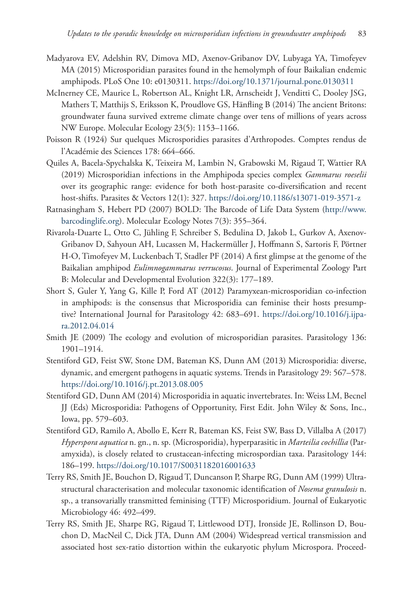- Madyarova EV, Adelshin RV, Dimova MD, Axenov-Gribanov DV, Lubyaga YA, Timofeyev MA (2015) Microsporidian parasites found in the hemolymph of four Baikalian endemic amphipods. PLoS One 10: e0130311.<https://doi.org/10.1371/journal.pone.0130311>
- McInerney CE, Maurice L, Robertson AL, Knight LR, Arnscheidt J, Venditti C, Dooley JSG, Mathers T, Matthijs S, Eriksson K, Proudlove GS, Hänfling B (2014) The ancient Britons: groundwater fauna survived extreme climate change over tens of millions of years across NW Europe. Molecular Ecology 23(5): 1153–1166.
- Poisson R (1924) Sur quelques Microsporidies parasites d'Arthropodes. Comptes rendus de l'Académie des Sciences 178: 664–666.
- Quiles A, Bacela-Spychalska K, Teixeira M, Lambin N, Grabowski M, Rigaud T, Wattier RA (2019) Microsporidian infections in the Amphipoda species complex *Gammarus roeselii* over its geographic range: evidence for both host-parasite co-diversification and recent host-shifts. Parasites & Vectors 12(1): 327. <https://doi.org/10.1186/s13071-019-3571-z>
- Ratnasingham S, Hebert PD (2007) BOLD: The Barcode of Life Data System [\(http://www.](http://www.barcodinglife.org) [barcodinglife.org](http://www.barcodinglife.org)). Molecular Ecology Notes 7(3): 355–364.
- Rivarola‐Duarte L, Otto C, Jühling F, Schreiber S, Bedulina D, Jakob L, Gurkov A, Axenov‐ Gribanov D, Sahyoun AH, Lucassen M, Hackermüller J, Hoffmann S, Sartoris F, Pörtner H-O, Timofeyev M, Luckenbach T, Stadler PF (2014) A first glimpse at the genome of the Baikalian amphipod *Eulimnogammarus verrucosus*. Journal of Experimental Zoology Part B: Molecular and Developmental Evolution 322(3): 177–189.
- Short S, Guler Y, Yang G, Kille P, Ford AT (2012) Paramyxean-microsporidian co-infection in amphipods: is the consensus that Microsporidia can feminise their hosts presumptive? International Journal for Parasitology 42: 683–691. [https://doi.org/10.1016/j.ijpa](https://doi.org/10.1016/j.ijpara.2012.04.014)[ra.2012.04.014](https://doi.org/10.1016/j.ijpara.2012.04.014)
- Smith JE (2009) The ecology and evolution of microsporidian parasites. Parasitology 136: 1901–1914.
- Stentiford GD, Feist SW, Stone DM, Bateman KS, Dunn AM (2013) Microsporidia: diverse, dynamic, and emergent pathogens in aquatic systems. Trends in Parasitology 29: 567–578. <https://doi.org/10.1016/j.pt.2013.08.005>
- Stentiford GD, Dunn AM (2014) Microsporidia in aquatic invertebrates. In: Weiss LM, Becnel JJ (Eds) Microsporidia: Pathogens of Opportunity, First Edit. John Wiley & Sons, Inc., Iowa, pp. 579–603.
- Stentiford GD, Ramilo A, Abollo E, Kerr R, Bateman KS, Feist SW, Bass D, Villalba A (2017) *Hyperspora aquatica* n. gn., n. sp. (Microsporidia), hyperparasitic in *Marteilia cochillia* (Paramyxida), is closely related to crustacean-infecting microspordian taxa. Parasitology 144: 186–199.<https://doi.org/10.1017/S0031182016001633>
- Terry RS, Smith JE, Bouchon D, Rigaud T, Duncanson P, Sharpe RG, Dunn AM (1999) Ultrastructural characterisation and molecular taxonomic identification of *Nosema granulosis* n. sp., a transovarially transmitted feminising (TTF) Microsporidium. Journal of Eukaryotic Microbiology 46: 492–499.
- Terry RS, Smith JE, Sharpe RG, Rigaud T, Littlewood DTJ, Ironside JE, Rollinson D, Bouchon D, MacNeil C, Dick JTA, Dunn AM (2004) Widespread vertical transmission and associated host sex-ratio distortion within the eukaryotic phylum Microspora. Proceed-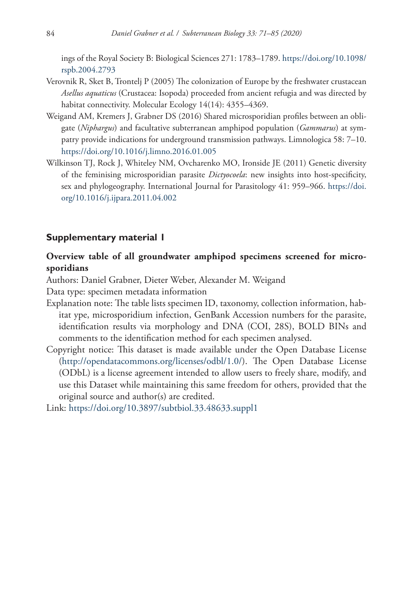ings of the Royal Society B: Biological Sciences 271: 1783–1789. [https://doi.org/10.1098/](https://doi.org/10.1098/rspb.2004.2793) [rspb.2004.2793](https://doi.org/10.1098/rspb.2004.2793)

- Verovnik R, Sket B, Trontelj P (2005) The colonization of Europe by the freshwater crustacean *Asellus aquaticus* (Crustacea: Isopoda) proceeded from ancient refugia and was directed by habitat connectivity. Molecular Ecology 14(14): 4355–4369.
- Weigand AM, Kremers J, Grabner DS (2016) Shared microsporidian profiles between an obligate (*Niphargus*) and facultative subterranean amphipod population (*Gammarus*) at sympatry provide indications for underground transmission pathways. Limnologica 58: 7–10. <https://doi.org/10.1016/j.limno.2016.01.005>
- Wilkinson TJ, Rock J, Whiteley NM, Ovcharenko MO, Ironside JE (2011) Genetic diversity of the feminising microsporidian parasite *Dictyocoela*: new insights into host-specificity, sex and phylogeography. International Journal for Parasitology 41: 959–966. [https://doi.](https://doi.org/10.1016/j.ijpara.2011.04.002) [org/10.1016/j.ijpara.2011.04.002](https://doi.org/10.1016/j.ijpara.2011.04.002)

#### **Supplementary material 1**

# **Overview table of all groundwater amphipod specimens screened for microsporidians**

Authors: Daniel Grabner, Dieter Weber, Alexander M. Weigand

Data type: specimen metadata information

- Explanation note: The table lists specimen ID, taxonomy, collection information, habitat ype, microsporidium infection, GenBank Accession numbers for the parasite, identification results via morphology and DNA (COI, 28S), BOLD BINs and comments to the identification method for each specimen analysed.
- Copyright notice: This dataset is made available under the Open Database License [\(http://opendatacommons.org/licenses/odbl/1.0/](http://opendatacommons.org/licenses/odbl/1.0/)). The Open Database License (ODbL) is a license agreement intended to allow users to freely share, modify, and use this Dataset while maintaining this same freedom for others, provided that the original source and author(s) are credited.

Link: <https://doi.org/10.3897/subtbiol.33.48633.suppl1>